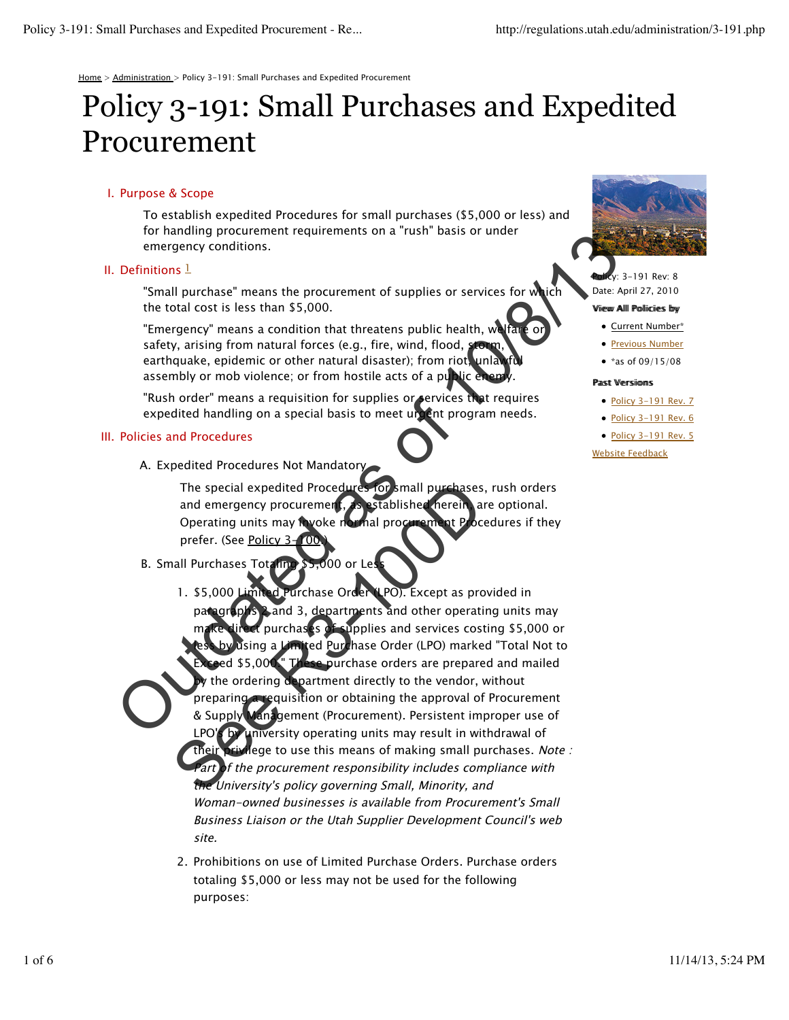Home > Administration > Policy 3-191: Small Purchases and Expedited Procurement

# Policy 3-191: Small Purchases and Expedited Procurement

# I. Purpose & Scope

To establish expedited Procedures for small purchases (\$5,000 or less) and for handling procurement requirements on a "rush" basis or under emergency conditions.

# II. Definitions  $1$

"Small purchase" means the procurement of supplies or services for which the total cost is less than \$5,000.

"Emergency" means a condition that threatens public health, we fai safety, arising from natural forces (e.g., fire, wind, flood, st earthquake, epidemic or other natural disaster); from riot, unla assembly or mob violence; or from hostile acts of a public energy

"Rush order" means a requisition for supplies or services that requires expedited handling on a special basis to meet urgent program needs.

## Policies and Procedures III.

A. Expedited Procedures Not Mandatory

The special expedited Procedures for small purchases, rush orders and emergency procurement, as established herein, are optional. Operating units may hyoke normal procurement Procedures if they prefer. (See Policy 3-

- B. Small Purchases Totaling \$5,000 or Less
- urchase Order (LPO). Except as provided in paragraphs 2 and 3, departments and other operating units may purchases of supplies and services costing \$5,000 or lited Purchase Order (LPO) marked "Total Not to purchase orders are prepared and mailed the ordering department directly to the vendor, without preparing a requisition or obtaining the approval of Procurement & Supply Management (Procurement). Persistent improper use of LPO's by university operating units may result in withdrawal of their privilege to use this means of making small purchases. Note : Part of the procurement responsibility includes compliance with the University's policy governing Small, Minority, and Woman-owned businesses is available from Procurement's Small Business Liaison or the Utah Supplier Development Council's web site.  $1.$  \$5,000 or ination proclamate the procedures of a test of the content of supplies or services for which<br>
Sefinitions 1<br>
The total cost is less than \$5,000.<br>
"Emergency" means a condition that threatens public health, which care a The special expedited Procedures for small purchases<br>and emergency procurement.<br>Sestablished nerein a<br>Operating units may have been and procurement Procedure<br>prefer. (See <u>Policy 3-100</u>)<br>all Purchases Total purchase Order
	- 2. Prohibitions on use of Limited Purchase Orders. Purchase orders totaling \$5,000 or less may not be used for the following purposes:



,<br>, 3-191 Rev: 8 Date: April 27, 2010

#### Viiew Alll Polliciies by

- Current Number\*
- **Previous Number**
- \*as of  $09/15/08$

#### Pastt Versiioms

- Policy 3-191 Rev. 7
- Policy 3-191 Rev. 6
- Policy 3-191 Rev. 5

Website Feedback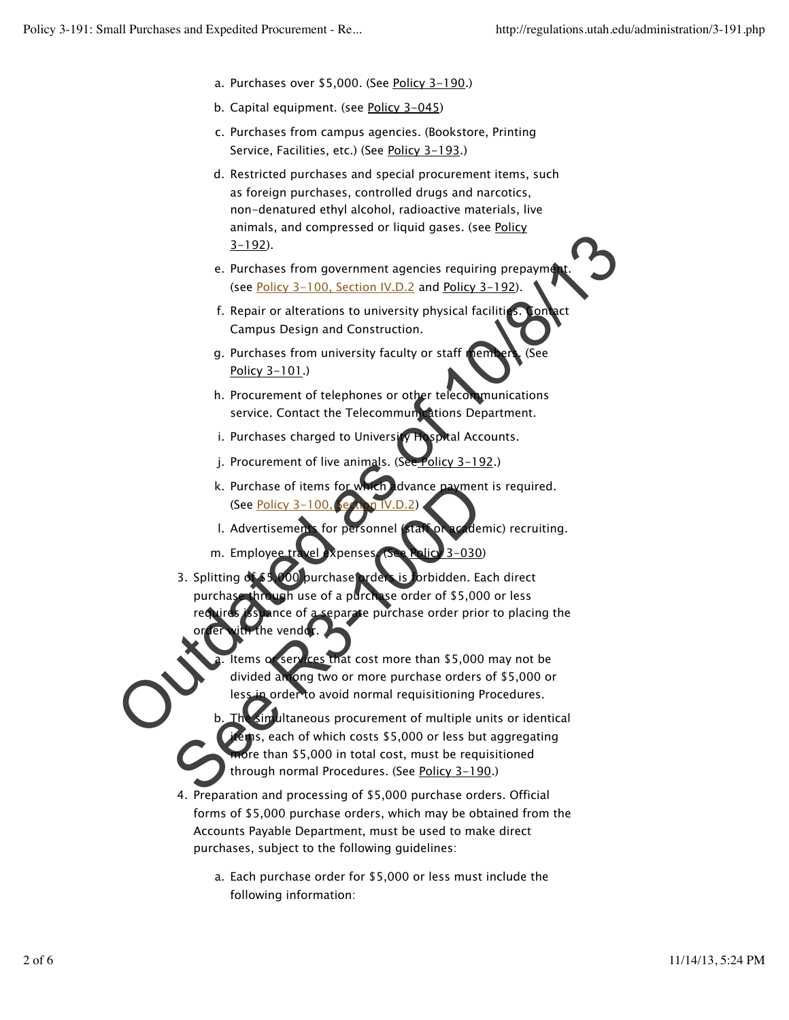- a. Purchases over \$5,000. (See Policy 3-190.)
- b. Capital equipment. (see Policy 3-045)
- c. Purchases from campus agencies. (Bookstore, Printing Service, Facilities, etc.) (See Policy 3-193.)
- d. Restricted purchases and special procurement items, such as foreign purchases, controlled drugs and narcotics, non-denatured ethyl alcohol, radioactive materials, live animals, and compressed or liquid gases. (see Policy 3-192).
- e. Purchases from government agencies requiring prepayment. (see Policy 3-100, Section IV.D.2 and Policy 3-192).
- f. Repair or alterations to university physical facilities. Contact Campus Design and Construction.
- g. Purchases from university faculty or staff members. (See Policy 3-101.)
- h. Procurement of telephones or other telecommunications service. Contact the Telecommunications Department.
- i. Purchases charged to University Hospital Accounts.
- j. Procurement of live animals. (See Policy 3-192.)
- dvance payment is required. (See Policy  $3-100$ k. Purchase of items for
- l. Advertisements for personnel (staff or academic) recruiting.
- m. Employee travel expenses. (See Policy 3-030)
- rders is forbidden. Each direct purchase through use of a purchase order of \$5,000 or less requires issuance of a separate purchase order prior to placing the order with the vendor. 3. Splitting Solution and the state of the state of the state of 10. Section 12.190.<br>
Section 2.100. Section 12.00. Section 12.192.<br>
Experience and the state of the state of the state of the state of the state of the state of the state Example 12<br>
See Policy 3–100, Care in V.D.2)<br>
1. Advertisement for personnel state on accident<br>
m. Employee tracel appenses (See Ralice 3–030)<br>
3. Splitting described in the second price of a purchase of a purchase of a p
	- that cost more than \$5,000 may not be divided among two or more purchase orders of \$5,000 or **Lorder to avoid normal requisitioning Procedures.** a.
	- imultaneous procurement of multiple units or identical  $\epsilon$  ins, each of which costs \$5,000 or less but aggregating ore than \$5,000 in total cost, must be requisitioned through normal Procedures. (See Policy 3-190.) b.
	- 4. Preparation and processing of \$5,000 purchase orders. Official forms of \$5,000 purchase orders, which may be obtained from the Accounts Payable Department, must be used to make direct purchases, subject to the following guidelines:
		- a. Each purchase order for \$5,000 or less must include the following information: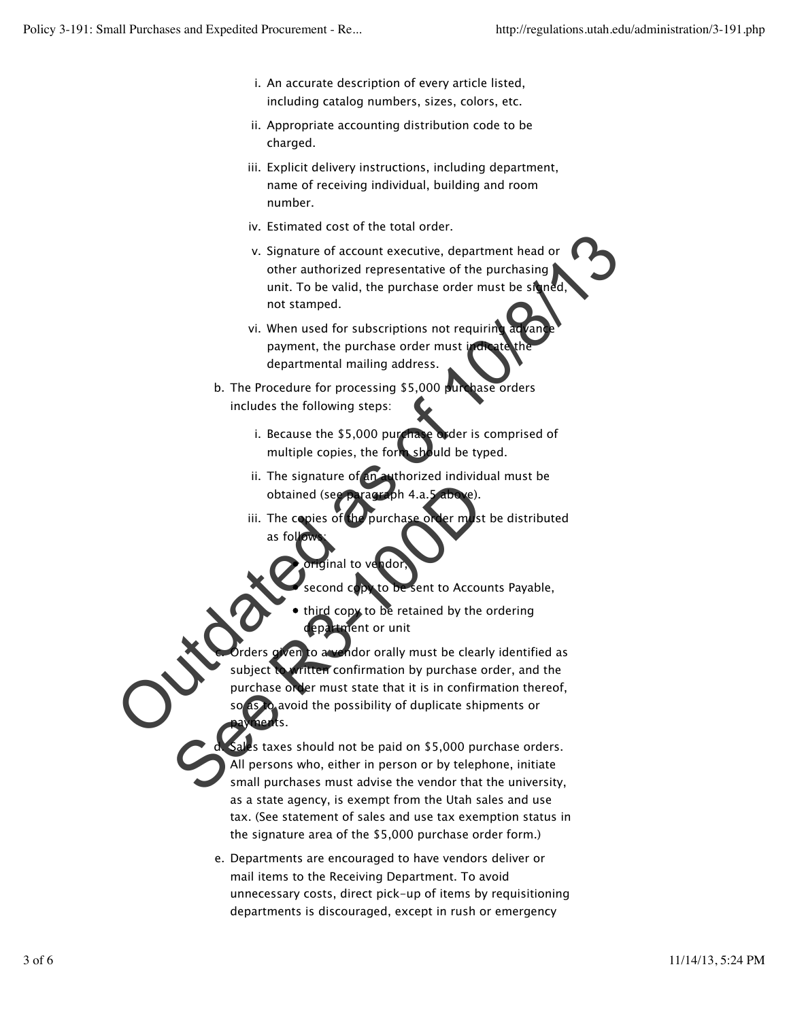- i. An accurate description of every article listed, including catalog numbers, sizes, colors, etc.
- ii. Appropriate accounting distribution code to be charged.
- iii. Explicit delivery instructions, including department, name of receiving individual, building and room number.
- iv. Estimated cost of the total order.
- v. Signature of account executive, department head or other authorized representative of the purchasing unit. To be valid, the purchase order must be signed not stamped.
- vi. When used for subscriptions not requiring advance payment, the purchase order must i departmental mailing address.
- b. The Procedure for processing \$5,000 purchase orders includes the following steps:
	- i. Because the \$5,000 purchase order is comprised of multiple copies, the form should be typed.
	- ii. The signature of an authorized individual must be obtained (see paragra
	- the purchase order must be distributed as fol iii. The copies of
		- ial to ve**n**doi

d.

- to be sent to Accounts Payable,
	- copy to be retained by the ordering ment or unit

Wen to a vendor orally must be clearly identified as ritten confirmation by purchase order, and the purchase order must state that it is in confirmation thereof, as to avoid the possibility of duplicate shipments or payments. c. Contract the particular state of the particular state of the purchase of the purchasing<br>
that it is be valid, the purchase order must be similar<br>
on the state of the purchase order must be similar<br>
on the purchase of the p obtained (see Bragzeph 4.a.5 above).<br>
iii. The copies of the purchase over m st<br>
as follows:<br>
as follows:<br>
as follows:<br>
as follows:<br>
as follows:<br>
as follows:<br>
as follows:<br>
as follows:<br>
as computed by the control of the sec

s taxes should not be paid on \$5,000 purchase orders. All persons who, either in person or by telephone, initiate small purchases must advise the vendor that the university, as a state agency, is exempt from the Utah sales and use tax. (See statement of sales and use tax exemption status in the signature area of the \$5,000 purchase order form.)

Departments are encouraged to have vendors deliver or e. mail items to the Receiving Department. To avoid unnecessary costs, direct pick-up of items by requisitioning departments is discouraged, except in rush or emergency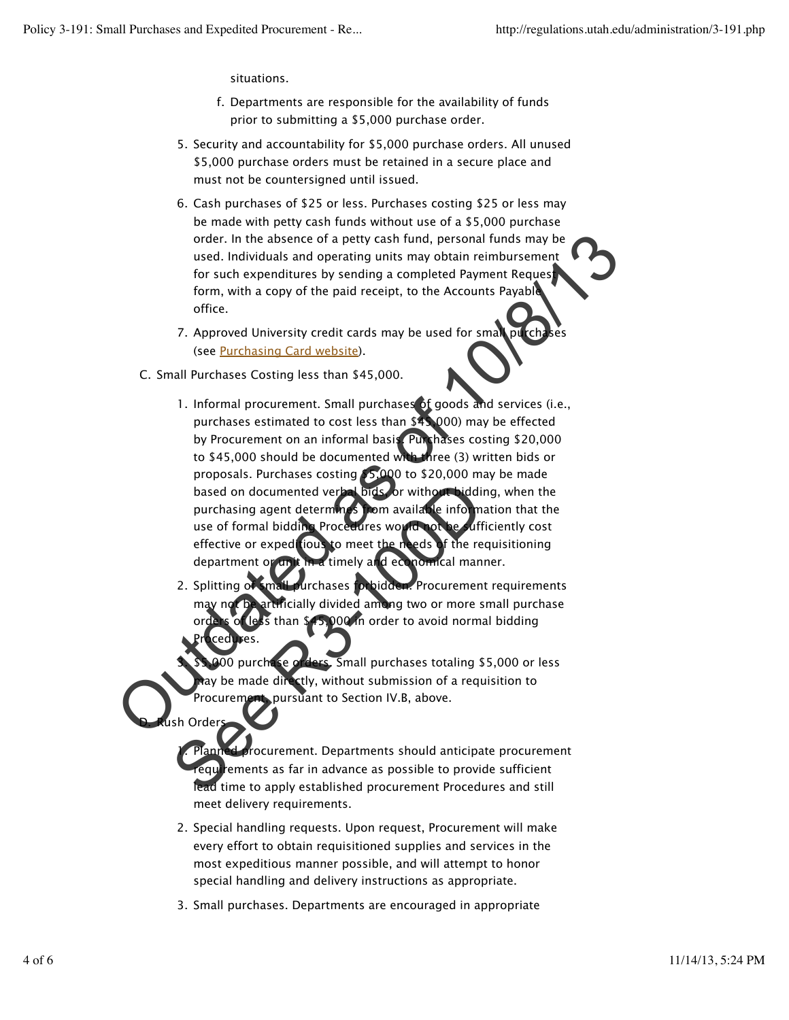3.

D.

h Order

situations.

- Departments are responsible for the availability of funds f. prior to submitting a \$5,000 purchase order.
- Security and accountability for \$5,000 purchase orders. All unused 5. \$5,000 purchase orders must be retained in a secure place and must not be countersigned until issued.
- 6. Cash purchases of \$25 or less. Purchases costing \$25 or less may be made with petty cash funds without use of a \$5,000 purchase order. In the absence of a petty cash fund, personal funds may be used. Individuals and operating units may obtain reimbursement for such expenditures by sending a completed Payment Request form, with a copy of the paid receipt, to the Accounts Payable office.
- 7. Approved University credit cards may be used for small purchases (see Purchasing Card website).
- C. Small Purchases Costing less than \$45,000.
- 1. Informal procurement. Small purchases of goods and services (i.e., purchases estimated to cost less than \$45,000) may be effected by Procurement on an informal basis. Purchases costing \$20,000 to \$45,000 should be documented with three (3) written bids or proposals. Purchases costing \$5,000 to \$20,000 may be made based on documented verbal bids, or without bidding, when the purchasing agent determines from available information that the use of formal bidding Procedures would not be sufficiently cost effective or expeditious to meet the needs of the requisitioning department or unit in a timely and economical manner. order. In the absence of a petry cash fund, personal funds may be<br>used. Individuals and operating units may botain reinburscenes<br>for such expenditures by sending a completed Payment Request<br>form, with a copy of the paid re based on documented verbations or without bidding<br>purchasing agent determines from availatie info m<br>use of formal bidding Proceedires words on the diff<br>effective or exped tous to meet the needs of the re<br>department or an t
	- chases forbidden. Procurement requirements ficially divided among two or more small purchase 000 in order to avoid normal bidding Procedures. 2. Splitting of

Small purchases totaling \$5,000 or less be made directly, without submission of a requisition to Procurement, pursuant to Section IV.B, above.

Planned procurement. Departments should anticipate procurement requirements as far in advance as possible to provide sufficient lead time to apply established procurement Procedures and still meet delivery requirements. 1.

- 2. Special handling requests. Upon request, Procurement will make every effort to obtain requisitioned supplies and services in the most expeditious manner possible, and will attempt to honor special handling and delivery instructions as appropriate.
- 3. Small purchases. Departments are encouraged in appropriate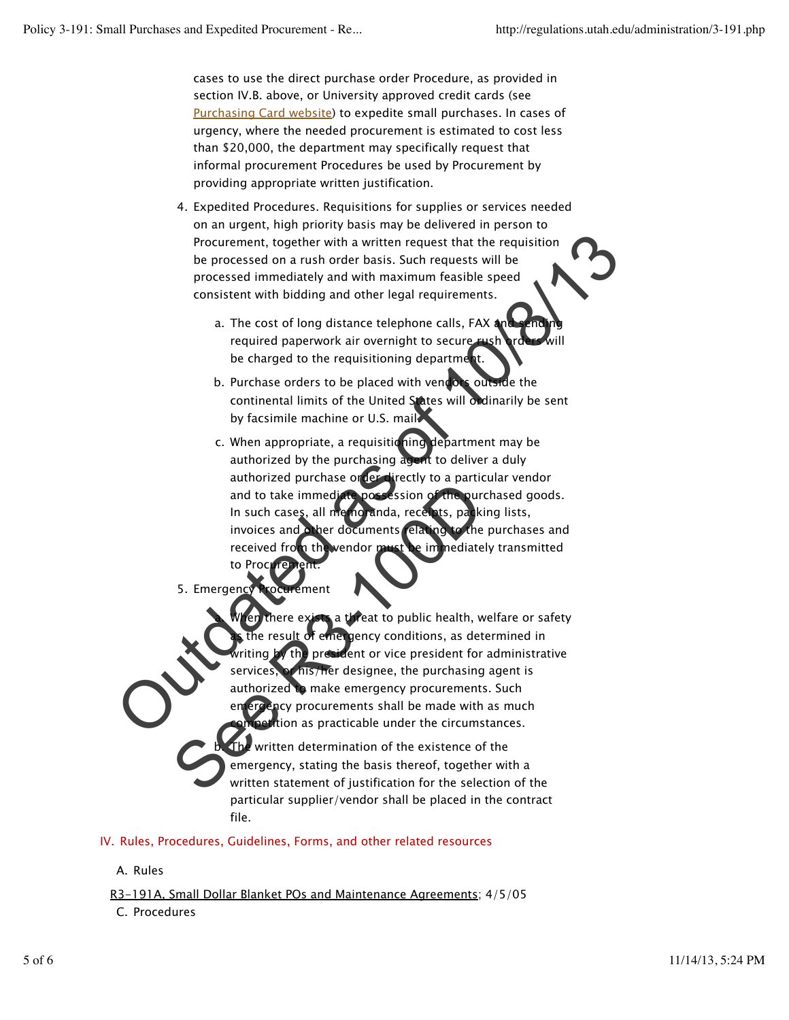cases to use the direct purchase order Procedure, as provided in section IV.B. above, or University approved credit cards (see Purchasing Card website) to expedite small purchases. In cases of urgency, where the needed procurement is estimated to cost less than \$20,000, the department may specifically request that informal procurement Procedures be used by Procurement by providing appropriate written justification.

- 4. Expedited Procedures. Requisitions for supplies or services needed on an urgent, high priority basis may be delivered in person to Procurement, together with a written request that the requisition be processed on a rush order basis. Such requests will be processed immediately and with maximum feasible speed consistent with bidding and other legal requirements.
	- a. The cost of long distance telephone calls, FAX and sending required paperwork air overnight to secure be charged to the requisitioning departmer
	- b. Purchase orders to be placed with vendors outside the continental limits of the United States will ordinarily be sent by facsimile machine or U.S. mail.
- c. When appropriate, a requisitioning department may be authorized by the purchasing agent to deliver a duly authorized purchase order directly to a particular vendor and to take immediate possession of the purchased goods. In such cases, all memoranda, receipts, packing lists, invoices and other documents relating to the purchases and received from the vendor must be immediately transmitted to Procure. Procurement, together with a written request that the requisition<br>
be processed on a rush order basis. Such requests will be<br>
processed immediately and with maximum feasible speed<br>
consistent with bidding and other legal r
	- 5. Emergency Procurement

**When the threat to public health, welfare or safety** gency conditions, as determined in the president or vice president for administrative his/her designee, the purchasing agent is authorized to make emergency procurements. Such ency procurements shall be made with as much tion as practicable under the circumstances. a. and to take immediate possession of the purchase and to take immediate possession of the purchase in such cases, all memorants claring to the received from the wendor mediate to procedure.<br>
S. Emergency frocuments the imme

written determination of the existence of the emergency, stating the basis thereof, together with a written statement of justification for the selection of the particular supplier/vendor shall be placed in the contract file. b.

IV. Rules, Procedures, Guidelines, Forms, and other related resources

A. Rules

R3-191A, Small Dollar Blanket POs and Maintenance Agreements; 4/5/05

C. Procedures